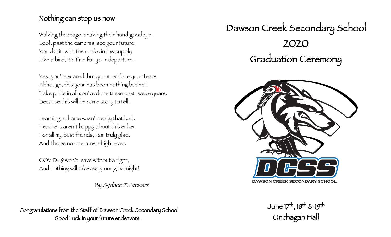# Nothing can stop us now

Walking the stage, shaking their hand goodbye. Look past the cameras, see your future. You did it, with the masks in low supply. Like a bird, it's time for your departure.

Yes, you're scared, but you must face your fears. Although, this year has been nothing but hell, Take pride in all you've done these past twelve years. Because this will be some story to tell.

Learning at home wasn't really that bad. Teachers aren't happy about this either. For all my best friends, I am truly glad. And I hope no one runs a high fever.

COVID-19 won't leave without a fight, And nothing will take away our grad night!

By Sydnee T. Stewart

Congratulations from the Staff of Dawson Creek Secondary School Good Luck in your future endeavors.





June 17th, 18th & 19th Unchagah Hall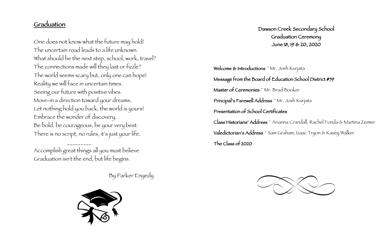### Graduation

One does not know what the future may hold! The uncertain road leads to a life unknown. What should be the next step, school, work, travel? The connections made will they last or fizzle? The world seems scary but, only one can hope! Reality we will face in uncertain times. Seeing our future with positive vibes. Move-in a direction toward your dreams. Let nothing hold you back, the world is yours! Embrace the wonder of discovery. Be bold, be courageous, be your very best. There is no script, no rules, it's just your life.

\_\_\_\_\_\_\_\_\_ Accomplish great things all you must believe Graduation isn't the end, but life begins.

By Parker Enyedy



Dawson Creek Secondary School Graduation Ceremony June 18, 19 & 20, 2020

Welcome & Introductions ~ Mr. Josh Kurjata Message from the Board of Education School District #59 Master of Ceremonies ~ Mr. Brad Booker Principal's Farewell Address ~ Mr. Josh Kurjata Presentation of School Certificates Class Historians' Address ~ Arianna Crandall, Rachel Fonda & Martina Zeimer Valedictorian's Address ~ Sam Graham, Izaac Tryon & Kasey Walker The Class of 2020

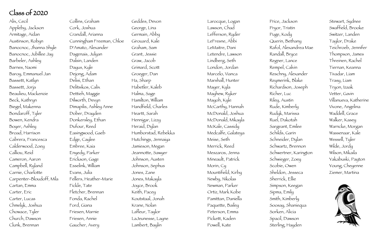## Class of 2020

Alix, Cecil Appleby, Jackson Armitage, Aidan Austinson, Robyn Banocnoc, Jhanna Shyle Banocnoc, Jubillee Jay Barbeler, Ashley Barnes, Naomi Baroy, Emmanuel Jan Bassett, Katlyn Bassett, Jorja Beaulieu, Mackenzie Beck, Kathryn Biegel, Makenna Bondaroff, Tyler Bowen, Kendra Boyer, Ashley Broad, Harrison Cabrera, Francesca Calderwood, Zoey Calliou, Reid Cameron, Aaron Campbell, Ryland Carnie, Charlotte Carpenter -Bloudoff, Mila Cartan, Emma Carter, Eric Carter, Lucas Chmelyk, Joshua Chowace, Tyler Church, Dawson Clunk, Brennan

Collins, Graham Cork, Joshua Crandall, Arianna Cunningham Freeman, Chloe D'Amato, Alexander Dagenais, Julyan Dalsin, Landen Dayus, Kyle Dejong, Adam Delisi, Ethan Delitsikos, Calix Dettieh, Maggie Dilworth, Devyn Dimapilis, Ashley Anne Dober, Drayden Donkersley, Ethan Dufour, Reed Easingwood, Gaeb Edge, Caylee Embree, Kaia Enyedy, Parker Erickson, Gage Esselink, William Evans, Julia Fellers, Heather -Marie Fickle, Tate Fletcher, Brennan Fonda, Rachel Ford, Giana Friesen, Marnie Friesen, Annie Gaucher, Avery

Geddes, Devon George, Lina Germain, Abby Girouard, Kale Graham, Sam Grant, Jessie Graw, Jacob Grimard, Scott Groeger, Dan Ha, Sharp Habetler, Kaleb Halma, Sage Hamilton, William Handfield, Charles Heartt, Sarah Hennigar, Lizzy Heraid, Dylan Humborstad, Rebekka Hutchings, Jennaiya Jamieson, Megan Jeannotte, Sawyer Johnson, Austen Johnson, Sephus Jones, Zane Jones, Makayla Joyce, Brook Keith, Pacey Koutstaal, Jonah Krane, Nolan Lafleur, Taylor LaJeunesse, Layne Lambert, Baylin

Larocque, Logan Lawson, Chad Lefferson, Ryder LeFresne, Abbi LeMaitre, Dani Letendre, Lawson Lindberg, Seth London, Jordan Marcelo, Vianca Marshall, Hunter Mayer, Kyla Mayhew, Ryker Mayoh, Kyle McCarthy, Hannah McDonald, Joshua McDonald, Mikayla McKale, Cassidy Medcalfe, Galateya Meise, Seth Merrick, Reed Meszaros, Jenna Mineault, Patrick Morin, Cy Mountifield, Kirby Newby, Nikolas Newman, Parker Ortiz, Mark Kobe Pamittan, Daniella Paquette, Bailey Peterson, Emma Pickett, Kaden Powell, Kate

Price, Jackson Pryor, Tristin Puge, Kody Querin, Bethany Rafol, Alexandrea Mae Randall, Bryce Regner, Lance Rempel, Calvin Reschny, Alexander Reymerink, Blake Richardson, Joseph Richer, Luc Riley, Austin Rude, Kimberly Rudyk, Marissa Ruel, Dakotah Sargeant, Emilee Schilds, Garin Schneider, Dylan Schwartz, Brennon Schwertner, Karington Schwieger, Zoey Scobie, Owen Sheldon, Jesseca Sherrick, Ellie Simpson, Keegan Sipma, Emily Smith, Kimberly Soosay, Shaniequa Sorken, Alicia Spacil, Dawson Sterling, Hayden

Stewart, Sydnee Swaffield, Brooke Switzer, Landen Taylor, Drake Teichroeb, Jennifer Thompson, James Threinen, Rachel Tiernan, Keanna Tivadar, Liam Trasy, Liam Tryon, Izaak Vetter, Gavin Villanueva, Katherine Vivone, Angelina Waddell, Grace Walker, Kasey Warncke, Morgan Wassenaar, Kale Wessell, Tyler Wilde, Jordy Wilson, Mikaila Yakabuski, Payton Young, Cheyenne Ziemer, Martina